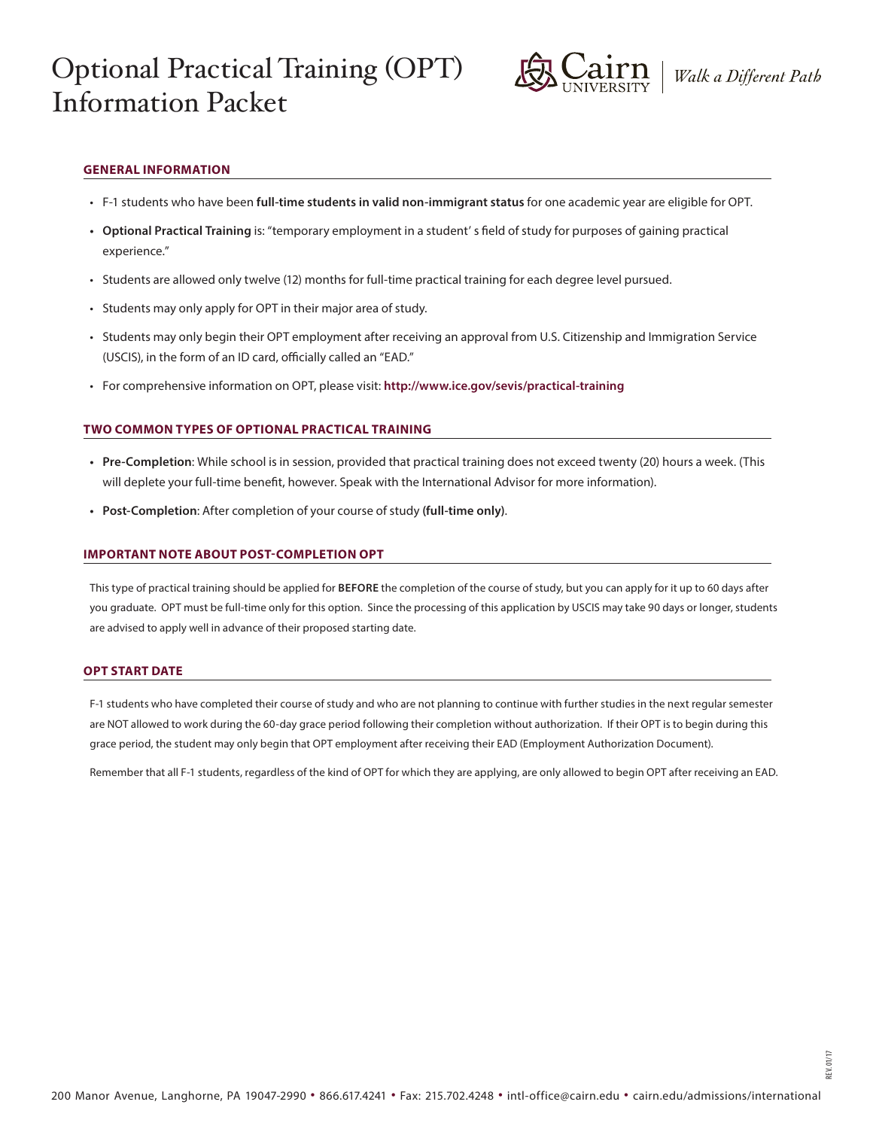# Optional Practical Training (OPT) Information Packet



REV. 01/17

# **GENERAL INFORMATION**

- F-1 students who have been **full-time students in valid non-immigrant status** for one academic year are eligible for OPT.
- **• Optional Practical Training** is: "temporary employment in a student' s field of study for purposes of gaining practical experience."
- Students are allowed only twelve (12) months for full-time practical training for each degree level pursued.
- Students may only apply for OPT in their major area of study.
- Students may only begin their OPT employment after receiving an approval from U.S. Citizenship and Immigration Service (USCIS), in the form of an ID card, officially called an "EAD."
- For comprehensive information on OPT, please visit: **http://www.ice.gov/sevis/practical-training**

## **TWO COMMON TYPES OF OPTIONAL PRACTICAL TRAINING**

- **• Pre-Completion**: While school is in session, provided that practical training does not exceed twenty (20) hours a week. (This will deplete your full-time benefit, however. Speak with the International Advisor for more information).
- **• Post-Completion**: After completion of your course of study **(full-time only)**.

### **IMPORTANT NOTE ABOUT POST-COMPLETION OPT**

This type of practical training should be applied for **BEFORE** the completion of the course of study, but you can apply for it up to 60 days after you graduate. OPT must be full-time only for this option. Since the processing of this application by USCIS may take 90 days or longer, students are advised to apply well in advance of their proposed starting date.

### **OPT START DATE**

F-1 students who have completed their course of study and who are not planning to continue with further studies in the next regular semester are NOT allowed to work during the 60-day grace period following their completion without authorization. If their OPT is to begin during this grace period, the student may only begin that OPT employment after receiving their EAD (Employment Authorization Document).

Remember that all F-1 students, regardless of the kind of OPT for which they are applying, are only allowed to begin OPT after receiving an EAD.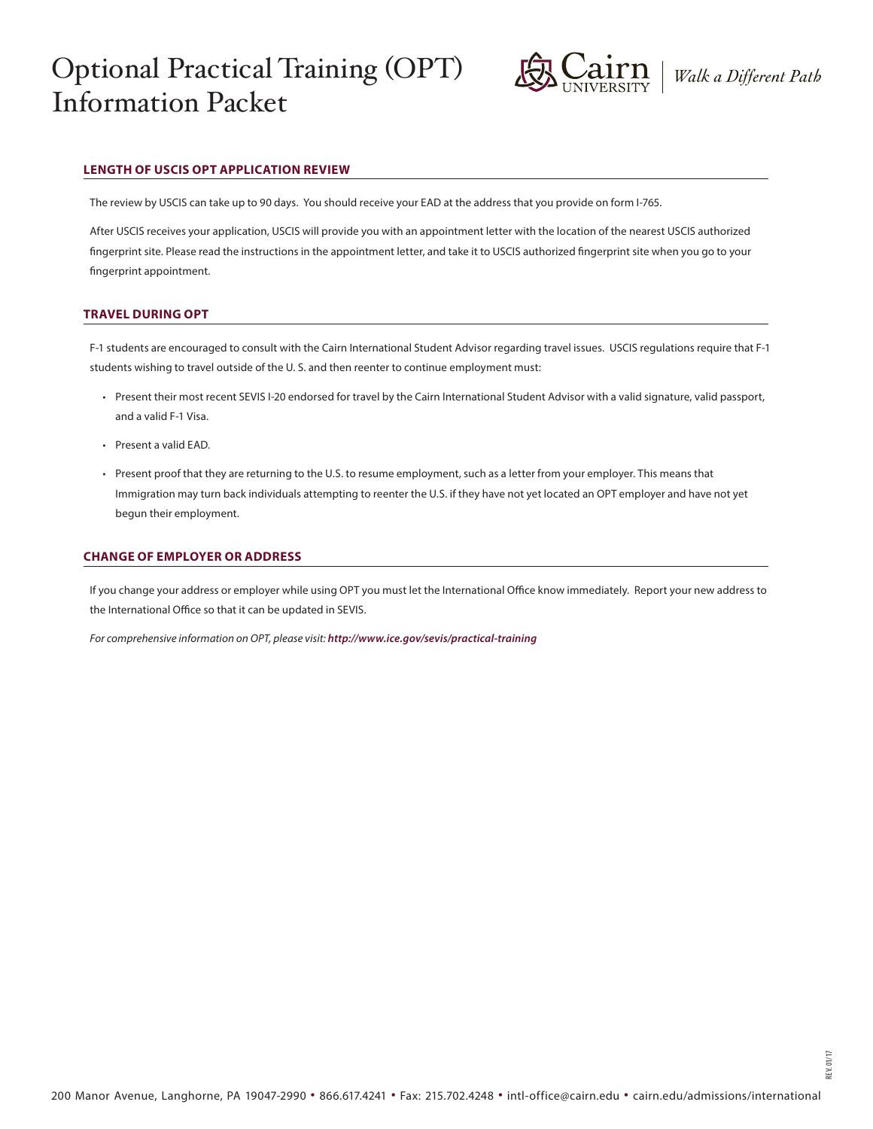# Optional Practical Training (OPT) Information Packet



REV. 01/17

# **LENGTH OF USCIS OPT APPLICATION REVIEW**

The review by USCIS can take up to 90 days. You should receive your EAD at the address that you provide on form I-765.

After USCIS receives your application, USCIS will provide you with an appointment letter with the location of the nearest USCIS authorized fingerprint site. Please read the instructions in the appointment letter, and take it to USCIS authorized fingerprint site when you go to your fingerprint appointment.

### **TRAVEL DURING OPT**

F-1 students are encouraged to consult with the Cairn International Student Advisor regarding travel issues. USCIS regulations require that F-1 students wishing to travel outside of the U. S. and then reenter to continue employment must:

- Present their most recent SEVIS I-20 endorsed for travel by the Cairn International Student Advisor with a valid signature, valid passport, and a valid F-1 Visa.
- Present a valid EAD.
- Present proof that they are returning to the U.S. to resume employment, such as a letter from your employer. This means that Immigration may turn back individuals attempting to reenter the U.S. if they have not yet located an OPT employer and have not yet begun their employment.

#### **CHANGE OF EMPLOYER OR ADDRESS**

If you change your address or employer while using OPT you must let the International Office know immediately. Report your new address to the International Office so that it can be updated in SEVIS.

*For comprehensive information on OPT, please visit: http://www.ice.gov/sevis/practical-training*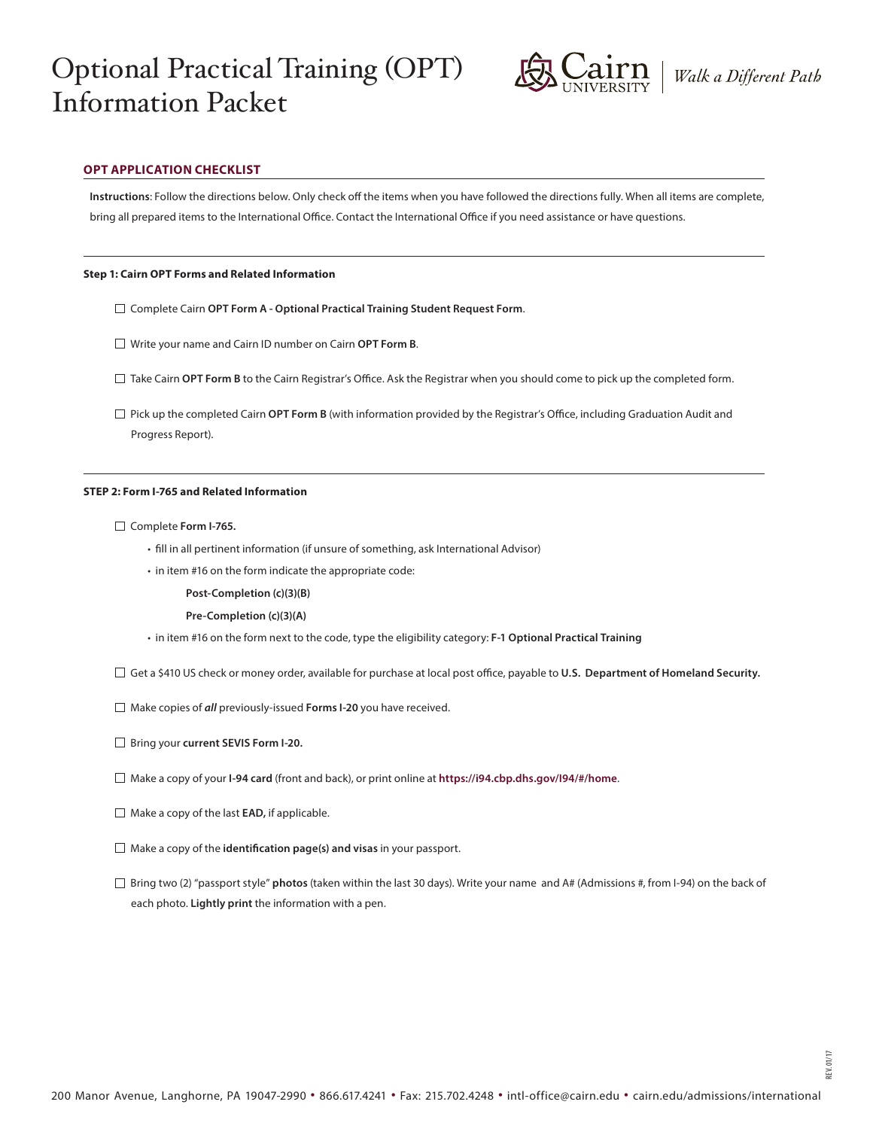# Optional Practical Training (OPT) Information Packet



REV. 01/17

# **OPT APPLICATION CHECKLIST**

**Instructions**: Follow the directions below. Only check off the items when you have followed the directions fully. When all items are complete, bring all prepared items to the International Office. Contact the International Office if you need assistance or have questions.

#### **Step 1: Cairn OPT Forms and Related Information**

- Complete Cairn **OPT Form A Optional Practical Training Student Request Form**.
- Write your name and Cairn ID number on Cairn **OPT Form B**.
- Take Cairn **OPT Form B** to the Cairn Registrar's Office. Ask the Registrar when you should come to pick up the completed form.
- $\Box$  Pick up the completed Cairn **OPT Form B** (with information provided by the Registrar's Office, including Graduation Audit and Progress Report).

#### **STEP 2: Form I-765 and Related Information**

#### Complete **Form I-765.**

- fill in all pertinent information (if unsure of something, ask International Advisor)
- in item #16 on the form indicate the appropriate code:
	- **Post-Completion (c)(3)(B)**
	- **Pre-Completion (c)(3)(A)**
- in item #16 on the form next to the code, type the eligibility category: **F-1 Optional Practical Training**
- Get a \$410 US check or money order, available for purchase at local post office, payable to **U.S. Department of Homeland Security.**
- Make copies of *all* previously-issued **Forms I-20** you have received.
- Bring your **current SEVIS Form I-20.**
- Make a copy of your **I-94 card** (front and back), or print online at **https://i94.cbp.dhs.gov/I94/#/home**.
- Make a copy of the last **EAD,** if applicable.
- Make a copy of the **identification page(s) and visas** in your passport.
- Bring two (2) "passport style" **photos** (taken within the last 30 days). Write your name and A# (Admissions #, from I-94) on the back of each photo. **Lightly print** the information with a pen.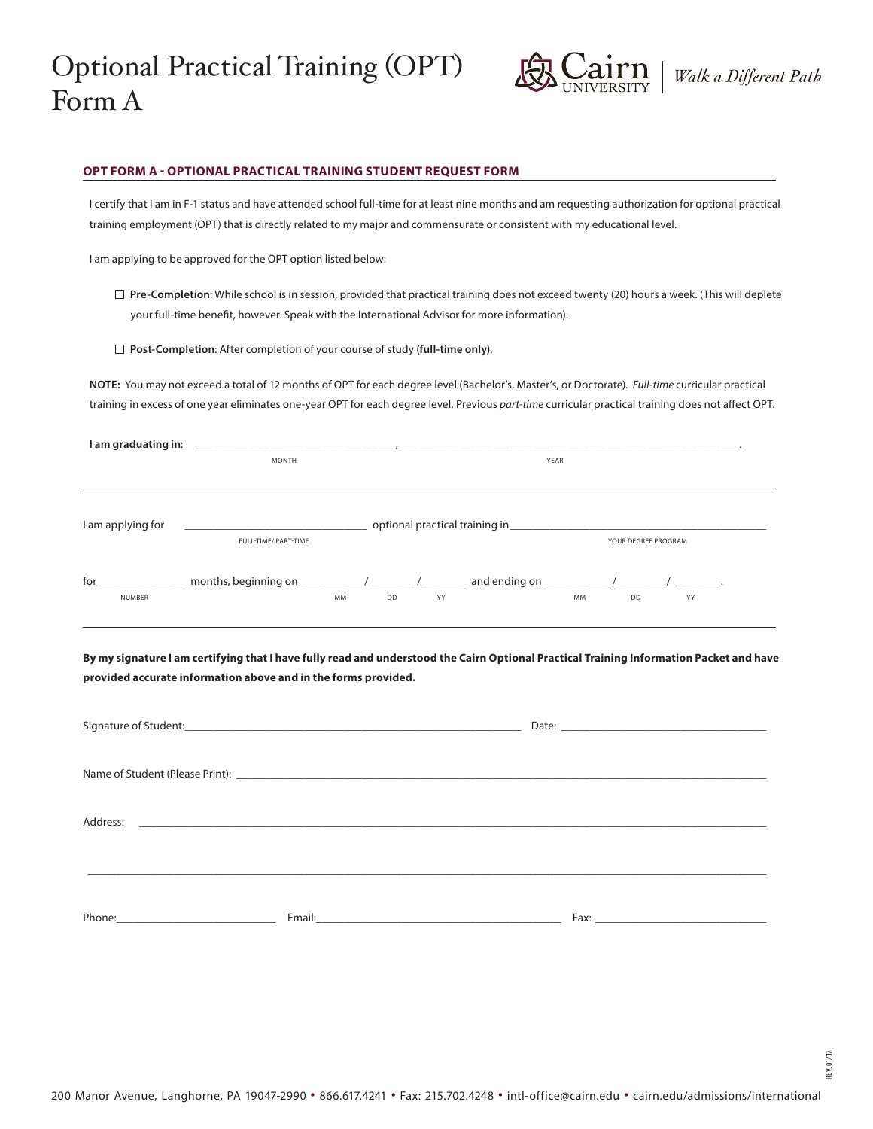

REV. 01/17

### **OPT FORM A - OPTIONAL PRACTICAL TRAINING STUDENT REQUEST FORM**

I certify that I am in F-1 status and have attended school full-time for at least nine months and am requesting authorization for optional practical training employment (OPT) that is directly related to my major and commensurate or consistent with my educational level.

I am applying to be approved for the OPT option listed below:

- **Pre-Completion**: While school is in session, provided that practical training does not exceed twenty (20) hours a week. (This will deplete your full-time benefit, however. Speak with the International Advisor for more information).
- **Post-Completion**: After completion of your course of study **(full-time only)**.

**NOTE:** You may not exceed a total of 12 months of OPT for each degree level (Bachelor's, Master's, or Doctorate). *Full-time* curricular practical training in excess of one year eliminates one-year OPT for each degree level. Previous *part-time* curricular practical training does not affect OPT.

| I am graduating in:<br><u> 1980 - Jan Sterling Sterling and Sterling and Sterling and Sterling and Sterling and Sterling and Sterling and Sterling and Sterling and Sterling and Sterling and Sterling and Sterling and Sterling and Sterling and Sterl</u> |                                                                                                                |                                                                                                                                                                                                                                                                                          |                                                            |  |
|-------------------------------------------------------------------------------------------------------------------------------------------------------------------------------------------------------------------------------------------------------------|----------------------------------------------------------------------------------------------------------------|------------------------------------------------------------------------------------------------------------------------------------------------------------------------------------------------------------------------------------------------------------------------------------------|------------------------------------------------------------|--|
|                                                                                                                                                                                                                                                             | <b>MONTH</b>                                                                                                   | YEAR                                                                                                                                                                                                                                                                                     |                                                            |  |
|                                                                                                                                                                                                                                                             |                                                                                                                |                                                                                                                                                                                                                                                                                          |                                                            |  |
| I am applying for                                                                                                                                                                                                                                           | optional practical training in the contract of the contract of the contract of the contract of the contract of |                                                                                                                                                                                                                                                                                          |                                                            |  |
|                                                                                                                                                                                                                                                             | FULL-TIME/ PART-TIME                                                                                           |                                                                                                                                                                                                                                                                                          | YOUR DEGREE PROGRAM                                        |  |
| for                                                                                                                                                                                                                                                         |                                                                                                                | months, beginning on $\sqrt{2}$ / $\sqrt{2}$ / $\sqrt{2}$ / $\sqrt{2}$ / $\sqrt{2}$ / $\sqrt{2}$ / $\sqrt{2}$ / $\sqrt{2}$ / $\sqrt{2}$ / $\sqrt{2}$ / $\sqrt{2}$ / $\sqrt{2}$ / $\sqrt{2}$ / $\sqrt{2}$ / $\sqrt{2}$ / $\sqrt{2}$ / $\sqrt{2}$ / $\sqrt{2}$ / $\sqrt{2}$ / $\sqrt{2}$ / | and ending on $\sqrt{2\pi}$<br>$\sim$ $\sim$ $\sim$ $\sim$ |  |
| <b>NUMBER</b>                                                                                                                                                                                                                                               |                                                                                                                | <b>MM</b><br>DD<br>YY                                                                                                                                                                                                                                                                    | <b>MM</b><br>DD<br>YY                                      |  |

**By my signature I am certifying that I have fully read and understood the Cairn Optional Practical Training Information Packet and have provided accurate information above and in the forms provided.**

| Signature of Student: National Communication of Student:                                                                                                                                                                       |  |                                                                                                                                                                                                                                |  |  |  |
|--------------------------------------------------------------------------------------------------------------------------------------------------------------------------------------------------------------------------------|--|--------------------------------------------------------------------------------------------------------------------------------------------------------------------------------------------------------------------------------|--|--|--|
|                                                                                                                                                                                                                                |  |                                                                                                                                                                                                                                |  |  |  |
|                                                                                                                                                                                                                                |  |                                                                                                                                                                                                                                |  |  |  |
|                                                                                                                                                                                                                                |  |                                                                                                                                                                                                                                |  |  |  |
|                                                                                                                                                                                                                                |  |                                                                                                                                                                                                                                |  |  |  |
|                                                                                                                                                                                                                                |  |                                                                                                                                                                                                                                |  |  |  |
| Address:                                                                                                                                                                                                                       |  |                                                                                                                                                                                                                                |  |  |  |
|                                                                                                                                                                                                                                |  |                                                                                                                                                                                                                                |  |  |  |
|                                                                                                                                                                                                                                |  |                                                                                                                                                                                                                                |  |  |  |
|                                                                                                                                                                                                                                |  |                                                                                                                                                                                                                                |  |  |  |
|                                                                                                                                                                                                                                |  |                                                                                                                                                                                                                                |  |  |  |
|                                                                                                                                                                                                                                |  |                                                                                                                                                                                                                                |  |  |  |
| Phone: the contract of the contract of the contract of the contract of the contract of the contract of the contract of the contract of the contract of the contract of the contract of the contract of the contract of the con |  | Fax: The contract of the contract of the contract of the contract of the contract of the contract of the contract of the contract of the contract of the contract of the contract of the contract of the contract of the contr |  |  |  |
|                                                                                                                                                                                                                                |  |                                                                                                                                                                                                                                |  |  |  |